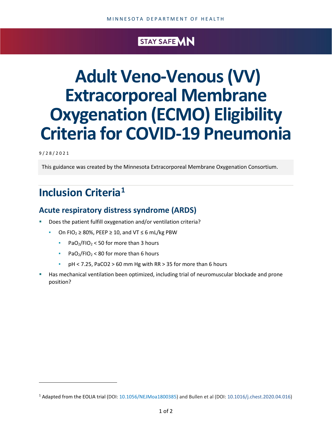#### STAY SAFE MN

# **Adult Veno-Venous (VV) Extracorporeal Membrane Oxygenation (ECMO) Eligibility Criteria for COVID-19 Pneumonia**

9/28/2021

This guidance was created by the Minnesota Extracorporeal Membrane Oxygenation Consortium.

## **Inclusion Criteri[a1](#page-0-0)**

#### **Acute respiratory distress syndrome (ARDS)**

- Does the patient fulfill oxygenation and/or ventilation criteria?
	- On FIO<sub>2</sub>  $\geq$  80%, PEEP  $\geq$  10, and VT  $\leq$  6 mL/kg PBW
		- **•** PaO<sub>2</sub>/FIO<sub>2</sub> < 50 for more than 3 hours
		- **•** PaO<sub>2</sub>/FIO<sub>2</sub> < 80 for more than 6 hours
		- pH < 7.25, PaCO2 > 60 mm Hg with RR > 35 for more than 6 hours
- Has mechanical ventilation been optimized, including trial of neuromuscular blockade and prone position?

<span id="page-0-0"></span><sup>1</sup> Adapted from the EOLIA trial (DOI: [10.1056/NEJMoa1800385\)](https://doi.org/10.1056/nejmoa1800385) and Bullen et al (DOI: [10.1016/j.chest.2020.04.016](https://doi.org/10.1016/j.chest.2020.04.016))